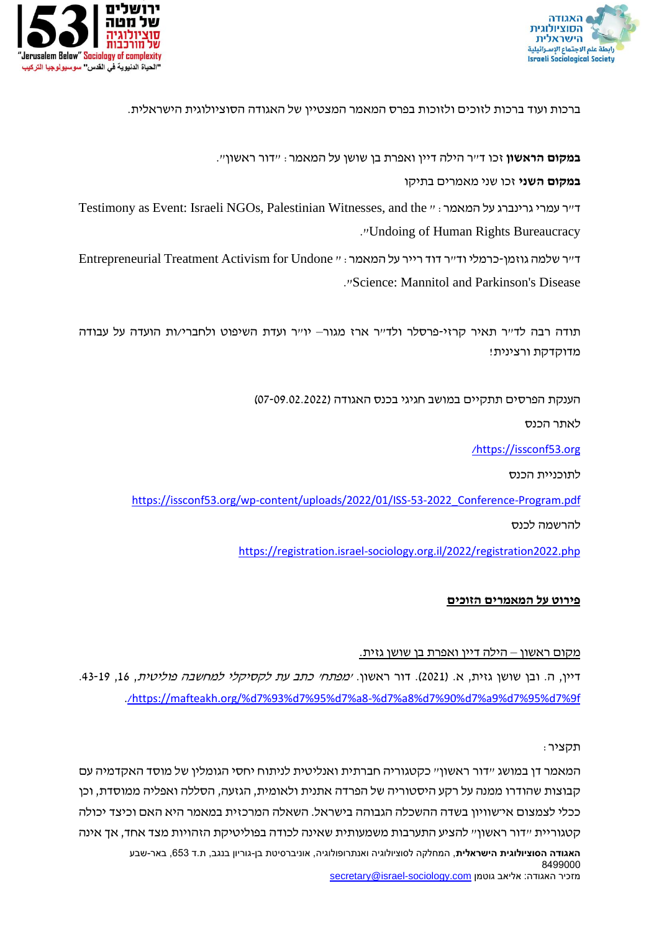



ברכות ועוד ברכות לזוכים ולזוכות בפרס המאמר המצטיין של האגודה הסוציולוגית הישראלית.

**במקום הראשון** זכו ד"ר הילה דיין ואפרת בן שושן על המאמר: "דור ראשון".

**במקום השני** זכו שני מאמרים בתיקו

Testimony as Event: Israeli NGOs, Palestinian Witnesses, and the " :המאמר על גרינברג עמרי ר"ד ."Undoing of Human Rights Bureaucracy

ד"ר שלמה גוזמן-כרמלי וד"ר דוד רייר על המאמר: " Undone for Activism Treatment Entrepreneurial ."Science: Mannitol and Parkinson's Disease

תודה רבה לד"ר תאיר קרזי-פרסלר ולד"ר ארז מגור– יו"ר ועדת השיפוט ולחברי/ות הועדה על עבודה מדוקדקת ורצינית!

הענקת הפרסים תתקיים במושב חגיגי בכנס האגודה ) 07-09.02.2022(

לאתר הכנס

[/](https://issconf53.org/)[https://issconf53.org](https://issconf53.org/)

לתוכניית הכנס

[https://issconf53.org/wp-content/uploads/2022/01/ISS-53-2022\\_Conference-Program.pdf](https://issconf53.org/wp-content/uploads/2022/01/ISS-53-2022_Conference-Program.pdf)

להרשמה לכנס

<https://registration.israel-sociology.org.il/2022/registration2022.php>

# **פירוט על המאמרים הזוכים**

## מקום ראשון – הילה דיין ואפרת בן שושן גזית.

דיין, ה. ובן שושן גזית, א. (2021). דור ראשון. *ימפתחי כתב עת לקסיקלי למחשבה פוליטית*, 16. 19-43.  [./](https://mafteakh.org/%d7%93%d7%95%d7%a8-%d7%a8%d7%90%d7%a9%d7%95%d7%9f/)[https://mafteakh.org/%d7%93%d7%95%d7%a8-%d7%a8%d7%90%d7%a9%d7%95%d7%9f](https://mafteakh.org/%d7%93%d7%95%d7%a8-%d7%a8%d7%90%d7%a9%d7%95%d7%9f/)

תקציר:

**האגודה הסוציולוגית הישראלית**, המחלקה לסוציולוגיה ואנתרופולוגיה, אוניברסיטת בן-גוריון בנגב, ת.ד ,653 באר-שבע 8499000 מזכיר האגודה: אליאב גוטמן secretary@israel-sociology.com המאמר דן במושג "דור ראשון" כקטגוריה חברתית ואנליטית לניתוח יחסי הגומלין של מוסד האקדמיה עם קבוצות שהודרו ממנה על רקע היסטוריה של הפרדה אתנית ולאומית, הגזעה, הסללה ואפליה ממוסדת, וכן ככלי לצמצום אי־שוויון בשדה ההשכלה הגבוהה בישראל . השאלה המרכזית במאמר היא האם וכיצד יכולה קטגוריית ״דור ראשון״ להציע התערבות משמעותית שאינה לכודה בפוליטיקת הזהויות מצד אחד, אך אינה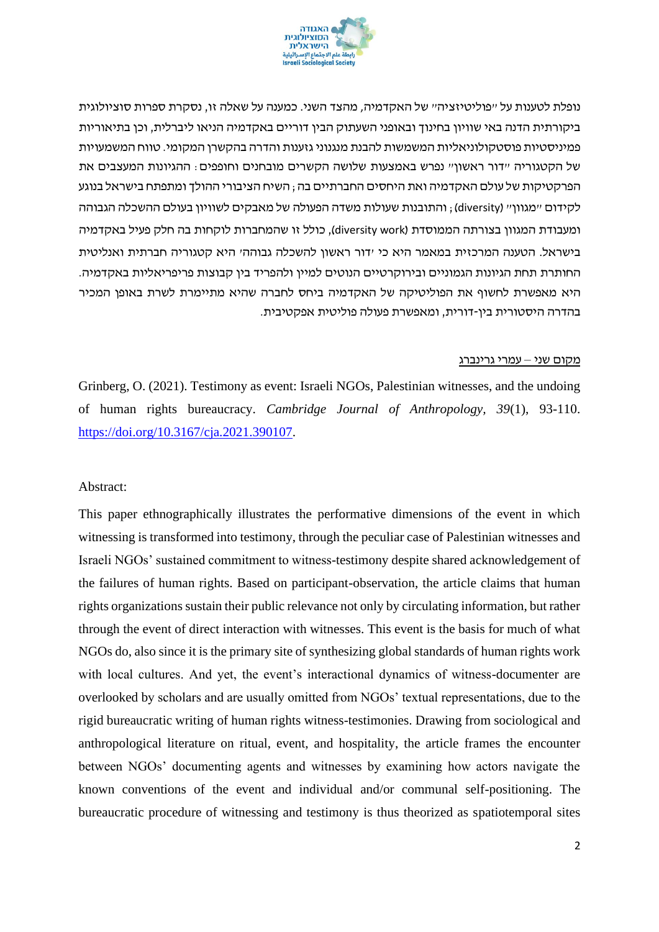

נופלת לטענות על ״פוליטיזציה״ של האקדמיה, מהצד השני. כמענה על שאלה זו, נסקרת ספרות סוציולוגית ביקורתית הדנה באי שוויון בחינוך ובאופני השעתוק הבין דוריים באקדמיה הניאו ליברלית, וכן בתיאוריות פמיניסטיות פוסטקולוניאליות המשמשות להבנת מנגנוני גזענות והדרה בהקשרן המקומי. טווח המשמעויות של הקטגוריה ״דור ראשון״ נפרש באמצעות שלושה הקשרים מובחנים וחופפים: ההגיונות המעצבים את הפרקטיקות של עולם האקדמיה ואת היחסים החברתיים בה; השיח הציבורי ההולך ומתפתח בישראל בנוגע לקידום "מגוון" (diversity) ; והתובנות שעולות משדה הפעולה של מאבקים לשוויון בעולם ההשכלה הגבוהה ומעבודת המגוון בצורתה הממוסדת )work diversity), כולל זו שהמחברות לוקחות בה חלק פעיל באקדמיה בישראל. הטענה המרכזית במאמר היא כי 'דור ראשון להשכלה גבוהה' היא קטגוריה חברתית ואנליטית החותרת תחת הגיונות הגמוניים ובירוקרטיים הנוטים למיין ולהפריד בין קבוצות פריפריאליות באקדמיה. היא מאפשרת לחשוף את הפוליטיקה של האקדמיה ביחס לחברה שהיא מתיימרת לשרת באופן המכיר בהדרה היסטורית בין-דורית , ומאפשרת פעולה פוליטית אפקטיבית.

#### מקום שני – עמרי גרינברג

Grinberg, O. (2021). Testimony as event: Israeli NGOs, Palestinian witnesses, and the undoing of human rights bureaucracy. *Cambridge Journal of Anthropology, 39*(1), 93-110. [https://doi.org/10.3167/cja.2021.390107.](https://doi.org/10.3167/cja.2021.390107)

#### Abstract:

This paper ethnographically illustrates the performative dimensions of the event in which witnessing is transformed into testimony, through the peculiar case of Palestinian witnesses and Israeli NGOs' sustained commitment to witness-testimony despite shared acknowledgement of the failures of human rights. Based on participant-observation, the article claims that human rights organizations sustain their public relevance not only by circulating information, but rather through the event of direct interaction with witnesses. This event is the basis for much of what NGOs do, also since it is the primary site of synthesizing global standards of human rights work with local cultures. And yet, the event's interactional dynamics of witness-documenter are overlooked by scholars and are usually omitted from NGOs' textual representations, due to the rigid bureaucratic writing of human rights witness-testimonies. Drawing from sociological and anthropological literature on ritual, event, and hospitality, the article frames the encounter between NGOs' documenting agents and witnesses by examining how actors navigate the known conventions of the event and individual and/or communal self-positioning. The bureaucratic procedure of witnessing and testimony is thus theorized as spatiotemporal sites